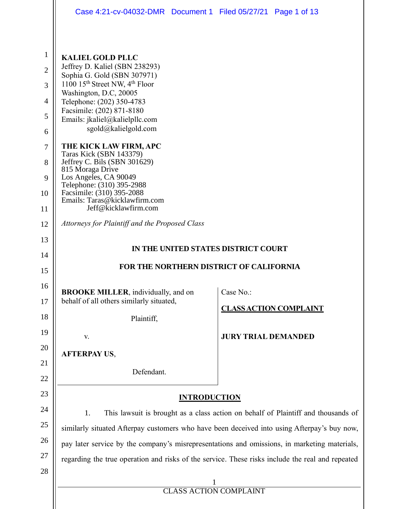|                | Case 4:21-cv-04032-DMR  Document 1  Filed 05/27/21  Page 1 of 13 |                                                                                                  |  |  |  |
|----------------|------------------------------------------------------------------|--------------------------------------------------------------------------------------------------|--|--|--|
|                |                                                                  |                                                                                                  |  |  |  |
| $\mathbf{1}$   | <b>KALIEL GOLD PLLC</b>                                          |                                                                                                  |  |  |  |
| $\overline{2}$ | Jeffrey D. Kaliel (SBN 238293)<br>Sophia G. Gold (SBN 307971)    |                                                                                                  |  |  |  |
| 3              | 1100 15 <sup>th</sup> Street NW, 4 <sup>th</sup> Floor           |                                                                                                  |  |  |  |
| 4              | Washington, D.C, 20005<br>Telephone: (202) 350-4783              |                                                                                                  |  |  |  |
| 5              | Facsimile: (202) 871-8180<br>Emails: jkaliel@kalielpllc.com      |                                                                                                  |  |  |  |
| 6              | sgold@kalielgold.com                                             |                                                                                                  |  |  |  |
| 7              | THE KICK LAW FIRM, APC<br><b>Taras Kick (SBN 143379)</b>         |                                                                                                  |  |  |  |
| 8              | Jeffrey C. Bils (SBN 301629)<br>815 Moraga Drive                 |                                                                                                  |  |  |  |
| 9              | Los Angeles, CA 90049<br>Telephone: (310) 395-2988               |                                                                                                  |  |  |  |
| 10             | Facsimile: (310) 395-2088<br>Emails: Taras@kicklawfirm.com       |                                                                                                  |  |  |  |
| 11             | Jeff@kicklawfirm.com                                             |                                                                                                  |  |  |  |
| 12             | Attorneys for Plaintiff and the Proposed Class                   |                                                                                                  |  |  |  |
| 13             | IN THE UNITED STATES DISTRICT COURT                              |                                                                                                  |  |  |  |
| 14             |                                                                  |                                                                                                  |  |  |  |
| 15             | FOR THE NORTHERN DISTRICT OF CALIFORNIA                          |                                                                                                  |  |  |  |
| 16             | <b>BROOKE MILLER</b> , individually, and on                      | Case No.:                                                                                        |  |  |  |
|                |                                                                  |                                                                                                  |  |  |  |
| 17             | behalf of all others similarly situated,                         | <b>CLASS ACTION COMPLAINT</b>                                                                    |  |  |  |
| 18             | Plaintiff,                                                       |                                                                                                  |  |  |  |
| 19             | V.                                                               | <b>JURY TRIAL DEMANDED</b>                                                                       |  |  |  |
| 20             | <b>AFTERPAY US,</b>                                              |                                                                                                  |  |  |  |
| 21<br>22       | Defendant.                                                       |                                                                                                  |  |  |  |
| 23             |                                                                  | <b>INTRODUCTION</b>                                                                              |  |  |  |
| 24             | 1.                                                               | This lawsuit is brought as a class action on behalf of Plaintiff and thousands of                |  |  |  |
| 25             |                                                                  | similarly situated Afterpay customers who have been deceived into using Afterpay's buy now,      |  |  |  |
| 26             |                                                                  | pay later service by the company's misrepresentations and omissions, in marketing materials,     |  |  |  |
| 27             |                                                                  | regarding the true operation and risks of the service. These risks include the real and repeated |  |  |  |
| 28             |                                                                  |                                                                                                  |  |  |  |
|                |                                                                  | 1<br><b>CLASS ACTION COMPLAINT</b>                                                               |  |  |  |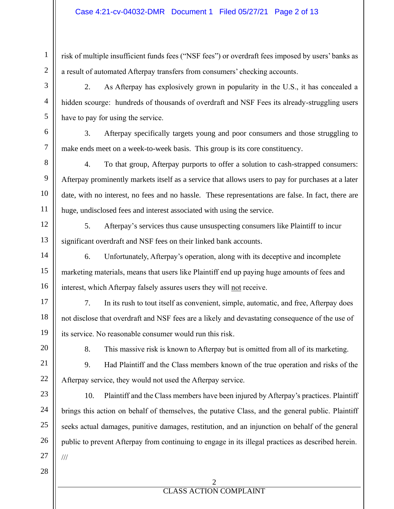risk of multiple insufficient funds fees ("NSF fees") or overdraft fees imposed by users' banks as a result of automated Afterpay transfers from consumers' checking accounts.

2. As Afterpay has explosively grown in popularity in the U.S., it has concealed a hidden scourge: hundreds of thousands of overdraft and NSF Fees its already-struggling users have to pay for using the service.

3. Afterpay specifically targets young and poor consumers and those struggling to make ends meet on a week-to-week basis. This group is its core constituency.

4. To that group, Afterpay purports to offer a solution to cash-strapped consumers: Afterpay prominently markets itself as a service that allows users to pay for purchases at a later date, with no interest, no fees and no hassle. These representations are false. In fact, there are huge, undisclosed fees and interest associated with using the service.

5. Afterpay's services thus cause unsuspecting consumers like Plaintiff to incur significant overdraft and NSF fees on their linked bank accounts.

6. Unfortunately, Afterpay's operation, along with its deceptive and incomplete marketing materials, means that users like Plaintiff end up paying huge amounts of fees and interest, which Afterpay falsely assures users they will not receive.

7. In its rush to tout itself as convenient, simple, automatic, and free, Afterpay does not disclose that overdraft and NSF fees are a likely and devastating consequence of the use of its service. No reasonable consumer would run this risk.

8. This massive risk is known to Afterpay but is omitted from all of its marketing.

9. Had Plaintiff and the Class members known of the true operation and risks of the Afterpay service, they would not used the Afterpay service.

10. Plaintiff and the Class members have been injured by Afterpay's practices. Plaintiff brings this action on behalf of themselves, the putative Class, and the general public. Plaintiff seeks actual damages, punitive damages, restitution, and an injunction on behalf of the general public to prevent Afterpay from continuing to engage in its illegal practices as described herein. ///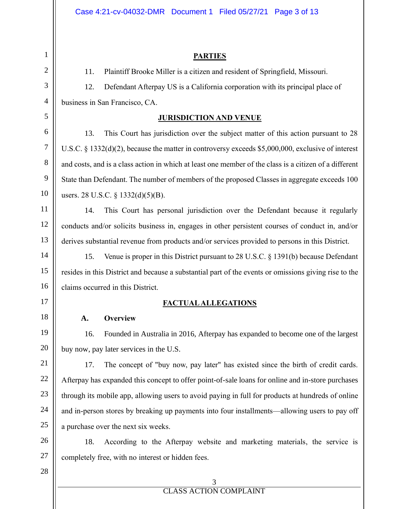#### **PARTIES**

11. Plaintiff Brooke Miller is a citizen and resident of Springfield, Missouri.

12. Defendant Afterpay US is a California corporation with its principal place of business in San Francisco, CA.

#### **JURISDICTION AND VENUE**

13. This Court has jurisdiction over the subject matter of this action pursuant to 28 U.S.C. § 1332(d)(2), because the matter in controversy exceeds \$5,000,000, exclusive of interest and costs, and is a class action in which at least one member of the class is a citizen of a different State than Defendant. The number of members of the proposed Classes in aggregate exceeds 100 users. 28 U.S.C. § 1332(d)(5)(B).

14. This Court has personal jurisdiction over the Defendant because it regularly conducts and/or solicits business in, engages in other persistent courses of conduct in, and/or derives substantial revenue from products and/or services provided to persons in this District.

15. Venue is proper in this District pursuant to 28 U.S.C. § 1391(b) because Defendant resides in this District and because a substantial part of the events or omissions giving rise to the claims occurred in this District.

### **FACTUAL ALLEGATIONS**

#### **A. Overview**

16. Founded in Australia in 2016, Afterpay has expanded to become one of the largest buy now, pay later services in the U.S.

17. The concept of "buy now, pay later" has existed since the birth of credit cards. Afterpay has expanded this concept to offer point-of-sale loans for online and in-store purchases through its mobile app, allowing users to avoid paying in full for products at hundreds of online and in-person stores by breaking up payments into four installments—allowing users to pay off a purchase over the next six weeks.

18. According to the Afterpay website and marketing materials, the service is completely free, with no interest or hidden fees.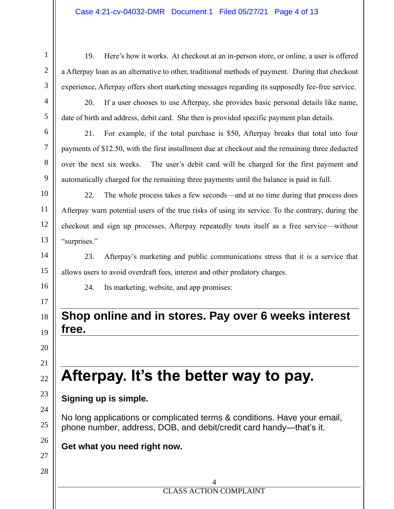19. Here's how it works. At checkout at an in-person store, or online, a user is offered a Afterpay loan as an alternative to other, traditional methods of payment. During that checkout experience, Afterpay offers short marketing messages regarding its supposedly fee-free service.

20. If a user chooses to use Afterpay, she provides basic personal details like name, date of birth and address, debit card. She then is provided specific payment plan details.

21. For example, if the total purchase is \$50, Afterpay breaks that total into four payments of \$12.50, with the first installment due at checkout and the remaining three deducted over the next six weeks. The user's debit card will be charged for the first payment and automatically charged for the remaining three payments until the balance is paid in full.

22. The whole process takes a few seconds—and at no time during that process does Afterpay warn potential users of the true risks of using its service. To the contrary, during the checkout and sign up processes, Afterpay repeatedly touts itself as a free service—without "surprises."

23. Afterpay's marketing and public communications stress that it is a service that allows users to avoid overdraft fees, interest and other predatory charges.

24. Its marketing, website, and app promises:

## **Shop online and in stores. Pay over 6 weeks interest free.**

# **Afterpay. It's the better way to pay.**

## **Signing up is simple.**

No long applications or complicated terms & conditions. Have your email, phone number, address, DOB, and debit/credit card handy—that's it.

## **Get what you need right now.**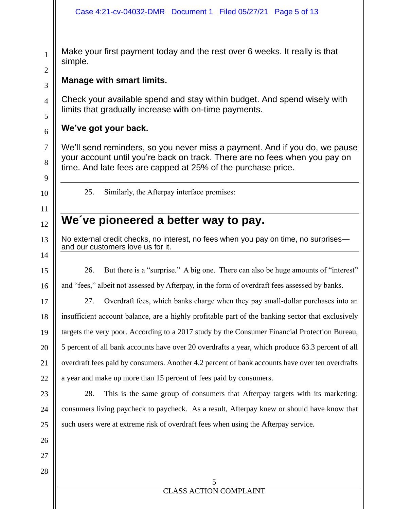Make your first payment today and the rest over 6 weeks. It really is that simple.

## **Manage with smart limits.**

Check your available spend and stay within budget. And spend wisely with limits that gradually increase with on-time payments.

## **We've got your back.**

We'll send reminders, so you never miss a payment. And if you do, we pause your account until you're back on track. There are no fees when you pay on time. And late fees are capped at 25% of the purchase price.

25. Similarly, the Afterpay interface promises:

## **We´ve pioneered a better way to pay.**

No external credit checks, no interest, no fees when you pay on time, no surprises and our customers love us for it.

26. But there is a "surprise." A big one. There can also be huge amounts of "interest"

and "fees," albeit not assessed by Afterpay, in the form of overdraft fees assessed by banks.

27. Overdraft fees, which banks charge when they pay small-dollar purchases into an insufficient account balance, are a highly profitable part of the banking sector that exclusively targets the very poor. According to a 2017 study by the Consumer Financial Protection Bureau, 5 percent of all bank accounts have over 20 overdrafts a year, which produce 63.3 percent of all overdraft fees paid by consumers. Another 4.2 percent of bank accounts have over ten overdrafts a year and make up more than 15 percent of fees paid by consumers.

28. This is the same group of consumers that Afterpay targets with its marketing: consumers living paycheck to paycheck. As a result, Afterpay knew or should have know that such users were at extreme risk of overdraft fees when using the Afterpay service.

1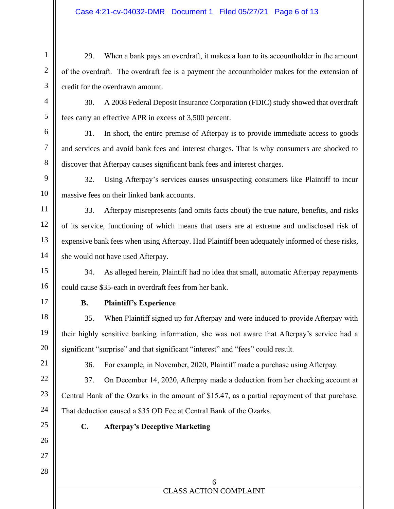#### Case 4:21-cv-04032-DMR Document 1 Filed 05/27/21 Page 6 of 13

29. When a bank pays an overdraft, it makes a loan to its accountholder in the amount of the overdraft. The overdraft fee is a payment the accountholder makes for the extension of credit for the overdrawn amount.

30. A 2008 Federal Deposit Insurance Corporation (FDIC) study showed that overdraft fees carry an effective APR in excess of 3,500 percent.

31. In short, the entire premise of Afterpay is to provide immediate access to goods and services and avoid bank fees and interest charges. That is why consumers are shocked to discover that Afterpay causes significant bank fees and interest charges.

32. Using Afterpay's services causes unsuspecting consumers like Plaintiff to incur massive fees on their linked bank accounts.

33. Afterpay misrepresents (and omits facts about) the true nature, benefits, and risks of its service, functioning of which means that users are at extreme and undisclosed risk of expensive bank fees when using Afterpay. Had Plaintiff been adequately informed of these risks, she would not have used Afterpay.

34. As alleged herein, Plaintiff had no idea that small, automatic Afterpay repayments could cause \$35-each in overdraft fees from her bank.

17

1

2

3

4

5

6

7

8

9

10

11

12

13

14

15

16

18

19

20

21

22

23

24

25

26

27

#### **B. Plaintiff's Experience**

35. When Plaintiff signed up for Afterpay and were induced to provide Afterpay with their highly sensitive banking information, she was not aware that Afterpay's service had a significant "surprise" and that significant "interest" and "fees" could result.

36. For example, in November, 2020, Plaintiff made a purchase using Afterpay.

37. On December 14, 2020, Afterpay made a deduction from her checking account at Central Bank of the Ozarks in the amount of \$15.47, as a partial repayment of that purchase. That deduction caused a \$35 OD Fee at Central Bank of the Ozarks.

### **C. Afterpay's Deceptive Marketing**

28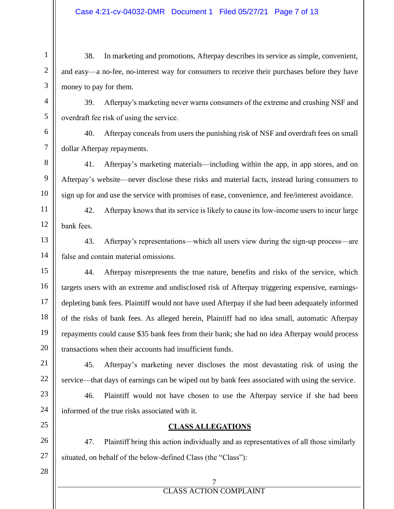38. In marketing and promotions, Afterpay describes its service as simple, convenient, and easy—a no-fee, no-interest way for consumers to receive their purchases before they have money to pay for them.

39. Afterpay's marketing never warns consumers of the extreme and crushing NSF and overdraft fee risk of using the service.

40. Afterpay conceals from users the punishing risk of NSF and overdraft fees on small dollar Afterpay repayments.

41. Afterpay's marketing materials—including within the app, in app stores, and on Afterpay's website—never disclose these risks and material facts, instead luring consumers to sign up for and use the service with promises of ease, convenience, and fee/interest avoidance.

42. Afterpay knows that its service is likely to cause its low-income users to incur large bank fees.

43. Afterpay's representations—which all users view during the sign-up process—are false and contain material omissions.

44. Afterpay misrepresents the true nature, benefits and risks of the service, which targets users with an extreme and undisclosed risk of Afterpay triggering expensive, earningsdepleting bank fees. Plaintiff would not have used Afterpay if she had been adequately informed of the risks of bank fees. As alleged herein, Plaintiff had no idea small, automatic Afterpay repayments could cause \$35 bank fees from their bank; she had no idea Afterpay would process transactions when their accounts had insufficient funds.

45. Afterpay's marketing never discloses the most devastating risk of using the service—that days of earnings can be wiped out by bank fees associated with using the service.

46. Plaintiff would not have chosen to use the Afterpay service if she had been informed of the true risks associated with it.

#### **CLASS ALLEGATIONS**

47. Plaintiff bring this action individually and as representatives of all those similarly situated, on behalf of the below-defined Class (the "Class"):

28

1

2

3

4

5

6

7

8

9

10

11

12

13

14

15

16

17

18

19

20

21

22

23

24

25

26

27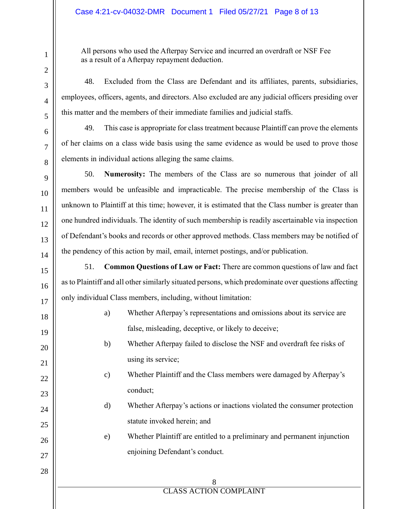#### Case 4:21-cv-04032-DMR Document 1 Filed 05/27/21 Page 8 of 13

All persons who used the Afterpay Service and incurred an overdraft or NSF Fee as a result of a Afterpay repayment deduction.

48. Excluded from the Class are Defendant and its affiliates, parents, subsidiaries, employees, officers, agents, and directors. Also excluded are any judicial officers presiding over this matter and the members of their immediate families and judicial staffs.

49. This case is appropriate for class treatment because Plaintiff can prove the elements of her claims on a class wide basis using the same evidence as would be used to prove those elements in individual actions alleging the same claims.

50. **Numerosity:** The members of the Class are so numerous that joinder of all members would be unfeasible and impracticable. The precise membership of the Class is unknown to Plaintiff at this time; however, it is estimated that the Class number is greater than one hundred individuals. The identity of such membership is readily ascertainable via inspection of Defendant's books and records or other approved methods. Class members may be notified of the pendency of this action by mail, email, internet postings, and/or publication.

51. **Common Questions of Law or Fact:** There are common questions of law and fact as to Plaintiff and all other similarly situated persons, which predominate over questions affecting only individual Class members, including, without limitation:

- a) Whether Afterpay's representations and omissions about its service are false, misleading, deceptive, or likely to deceive; b) Whether Afterpay failed to disclose the NSF and overdraft fee risks of
	- using its service;
	- c) Whether Plaintiff and the Class members were damaged by Afterpay's conduct;
	- d) Whether Afterpay's actions or inactions violated the consumer protection statute invoked herein; and
	- e) Whether Plaintiff are entitled to a preliminary and permanent injunction enjoining Defendant's conduct.

## 8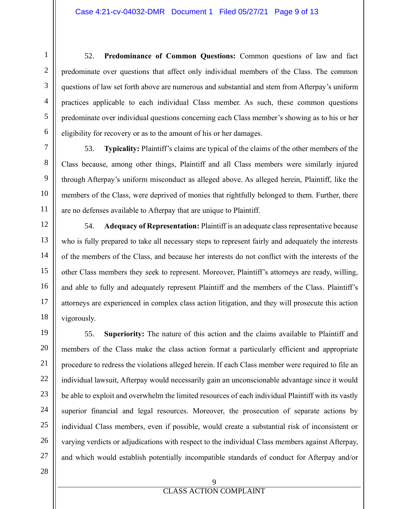52. **Predominance of Common Questions:** Common questions of law and fact predominate over questions that affect only individual members of the Class. The common questions of law set forth above are numerous and substantial and stem from Afterpay's uniform practices applicable to each individual Class member. As such, these common questions predominate over individual questions concerning each Class member's showing as to his or her eligibility for recovery or as to the amount of his or her damages.

53. **Typicality:** Plaintiff's claims are typical of the claims of the other members of the Class because, among other things, Plaintiff and all Class members were similarly injured through Afterpay's uniform misconduct as alleged above. As alleged herein, Plaintiff, like the members of the Class, were deprived of monies that rightfully belonged to them. Further, there are no defenses available to Afterpay that are unique to Plaintiff.

54. **Adequacy of Representation:** Plaintiff is an adequate class representative because who is fully prepared to take all necessary steps to represent fairly and adequately the interests of the members of the Class, and because her interests do not conflict with the interests of the other Class members they seek to represent. Moreover, Plaintiff's attorneys are ready, willing, and able to fully and adequately represent Plaintiff and the members of the Class. Plaintiff's attorneys are experienced in complex class action litigation, and they will prosecute this action vigorously.

55. **Superiority:** The nature of this action and the claims available to Plaintiff and members of the Class make the class action format a particularly efficient and appropriate procedure to redress the violations alleged herein. If each Class member were required to file an individual lawsuit, Afterpay would necessarily gain an unconscionable advantage since it would be able to exploit and overwhelm the limited resources of each individual Plaintiff with its vastly superior financial and legal resources. Moreover, the prosecution of separate actions by individual Class members, even if possible, would create a substantial risk of inconsistent or varying verdicts or adjudications with respect to the individual Class members against Afterpay, and which would establish potentially incompatible standards of conduct for Afterpay and/or

28

1

2

3

4

5

6

7

8

9

10

11

12

13

14

15

16

17

18

19

20

21

22

23

24

25

26

27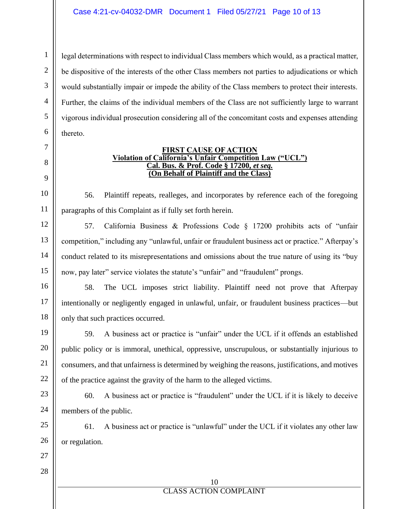legal determinations with respect to individual Class members which would, as a practical matter, be dispositive of the interests of the other Class members not parties to adjudications or which would substantially impair or impede the ability of the Class members to protect their interests. Further, the claims of the individual members of the Class are not sufficiently large to warrant vigorous individual prosecution considering all of the concomitant costs and expenses attending thereto.

#### **FIRST CAUSE OF ACTION Violation of California's Unfair Competition Law ("UCL") Cal. Bus. & Prof. Code § 17200,** *et seq.* **(On Behalf of Plaintiff and the Class)**

56. Plaintiff repeats, realleges, and incorporates by reference each of the foregoing paragraphs of this Complaint as if fully set forth herein.

57. California Business & Professions Code § 17200 prohibits acts of "unfair competition," including any "unlawful, unfair or fraudulent business act or practice." Afterpay's conduct related to its misrepresentations and omissions about the true nature of using its "buy now, pay later" service violates the statute's "unfair" and "fraudulent" prongs.

58. The UCL imposes strict liability. Plaintiff need not prove that Afterpay intentionally or negligently engaged in unlawful, unfair, or fraudulent business practices—but only that such practices occurred.

59. A business act or practice is "unfair" under the UCL if it offends an established public policy or is immoral, unethical, oppressive, unscrupulous, or substantially injurious to consumers, and that unfairness is determined by weighing the reasons, justifications, and motives of the practice against the gravity of the harm to the alleged victims.

60. A business act or practice is "fraudulent" under the UCL if it is likely to deceive members of the public.

61. A business act or practice is "unlawful" under the UCL if it violates any other law or regulation.

1

2

3

4

5

6

7

8

9

10

11

12

28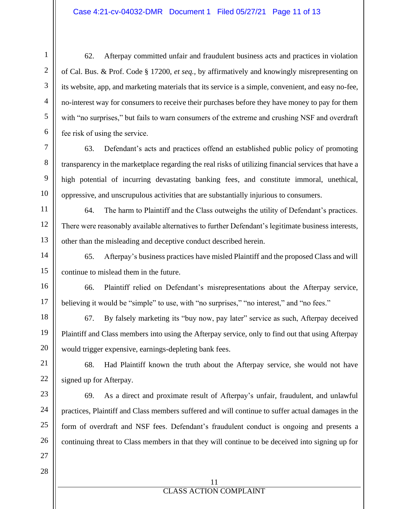62. Afterpay committed unfair and fraudulent business acts and practices in violation of Cal. Bus. & Prof. Code § 17200, *et seq.,* by affirmatively and knowingly misrepresenting on its website, app, and marketing materials that its service is a simple, convenient, and easy no-fee, no-interest way for consumers to receive their purchases before they have money to pay for them with "no surprises," but fails to warn consumers of the extreme and crushing NSF and overdraft fee risk of using the service.

63. Defendant's acts and practices offend an established public policy of promoting transparency in the marketplace regarding the real risks of utilizing financial services that have a high potential of incurring devastating banking fees, and constitute immoral, unethical, oppressive, and unscrupulous activities that are substantially injurious to consumers.

64. The harm to Plaintiff and the Class outweighs the utility of Defendant's practices. There were reasonably available alternatives to further Defendant's legitimate business interests, other than the misleading and deceptive conduct described herein.

65. Afterpay's business practices have misled Plaintiff and the proposed Class and will continue to mislead them in the future.

66. Plaintiff relied on Defendant's misrepresentations about the Afterpay service, believing it would be "simple" to use, with "no surprises," "no interest," and "no fees."

67. By falsely marketing its "buy now, pay later" service as such, Afterpay deceived Plaintiff and Class members into using the Afterpay service, only to find out that using Afterpay would trigger expensive, earnings-depleting bank fees.

68. Had Plaintiff known the truth about the Afterpay service, she would not have signed up for Afterpay.

69. As a direct and proximate result of Afterpay's unfair, fraudulent, and unlawful practices, Plaintiff and Class members suffered and will continue to suffer actual damages in the form of overdraft and NSF fees. Defendant's fraudulent conduct is ongoing and presents a continuing threat to Class members in that they will continue to be deceived into signing up for

1

2

3

4

5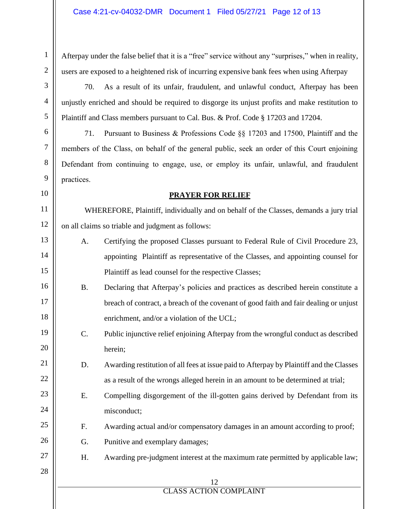Afterpay under the false belief that it is a "free" service without any "surprises," when in reality, users are exposed to a heightened risk of incurring expensive bank fees when using Afterpay

70. As a result of its unfair, fraudulent, and unlawful conduct, Afterpay has been unjustly enriched and should be required to disgorge its unjust profits and make restitution to Plaintiff and Class members pursuant to Cal. Bus. & Prof. Code § 17203 and 17204.

71. Pursuant to Business & Professions Code §§ 17203 and 17500, Plaintiff and the members of the Class, on behalf of the general public, seek an order of this Court enjoining Defendant from continuing to engage, use, or employ its unfair, unlawful, and fraudulent practices.

#### **PRAYER FOR RELIEF**

WHEREFORE, Plaintiff, individually and on behalf of the Classes, demands a jury trial on all claims so triable and judgment as follows:

- A. Certifying the proposed Classes pursuant to Federal Rule of Civil Procedure 23, appointing Plaintiff as representative of the Classes, and appointing counsel for Plaintiff as lead counsel for the respective Classes;
- B. Declaring that Afterpay's policies and practices as described herein constitute a breach of contract, a breach of the covenant of good faith and fair dealing or unjust enrichment, and/or a violation of the UCL;
- C. Public injunctive relief enjoining Afterpay from the wrongful conduct as described herein;
- D. Awarding restitution of all fees at issue paid to Afterpay by Plaintiff and the Classes as a result of the wrongs alleged herein in an amount to be determined at trial;
- E. Compelling disgorgement of the ill-gotten gains derived by Defendant from its misconduct;
	- F. Awarding actual and/or compensatory damages in an amount according to proof;
	- G. Punitive and exemplary damages;
- H. Awarding pre-judgment interest at the maximum rate permitted by applicable law;
	- 12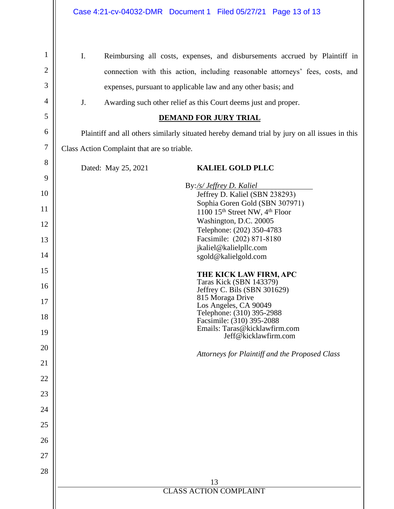$\mathbf{I}$ 

| $\mathbf{1}$     | I.<br>Reimbursing all costs, expenses, and disbursements accrued by Plaintiff in              |
|------------------|-----------------------------------------------------------------------------------------------|
| $\overline{2}$   | connection with this action, including reasonable attorneys' fees, costs, and                 |
| 3                | expenses, pursuant to applicable law and any other basis; and                                 |
| 4                | J.<br>Awarding such other relief as this Court deems just and proper.                         |
| 5                | <b>DEMAND FOR JURY TRIAL</b>                                                                  |
| 6                | Plaintiff and all others similarly situated hereby demand trial by jury on all issues in this |
| $\boldsymbol{7}$ | Class Action Complaint that are so triable.                                                   |
| 8                | <b>KALIEL GOLD PLLC</b><br>Dated: May 25, 2021                                                |
| 9                | By:/s/ Jeffrey D. Kaliel                                                                      |
| 10               | Jeffrey D. Kaliel (SBN 238293)                                                                |
| 11               | Sophia Goren Gold (SBN 307971)<br>1100 15 <sup>th</sup> Street NW, 4 <sup>th</sup> Floor      |
| 12               | Washington, D.C. 20005<br>Telephone: (202) 350-4783                                           |
| 13               | Facsimile: (202) 871-8180                                                                     |
| 14               | jkaliel@kalielpllc.com<br>sgold@kalielgold.com                                                |
| 15               | THE KICK LAW FIRM, APC                                                                        |
| 16               | <b>Taras Kick (SBN 143379)</b><br>Jeffrey C. Bils (SBN 301629)                                |
| 17               | 815 Moraga Drive<br>Los Angeles, CA 90049                                                     |
| 18               | Telephone: (310) 395-2988<br>Facsimile: (310) 395-2088                                        |
| 19               | Emails: Taras@kicklawfirm.com<br>Jeff@kicklawfirm.com                                         |
| 20               |                                                                                               |
| 21               | Attorneys for Plaintiff and the Proposed Class                                                |
| 22               |                                                                                               |
| 23               |                                                                                               |
| 24               |                                                                                               |
| 25               |                                                                                               |
| 26               |                                                                                               |
| 27               |                                                                                               |
| 28               |                                                                                               |
|                  | 13                                                                                            |
|                  | <b>CLASS ACTION COMPLAINT</b>                                                                 |
|                  |                                                                                               |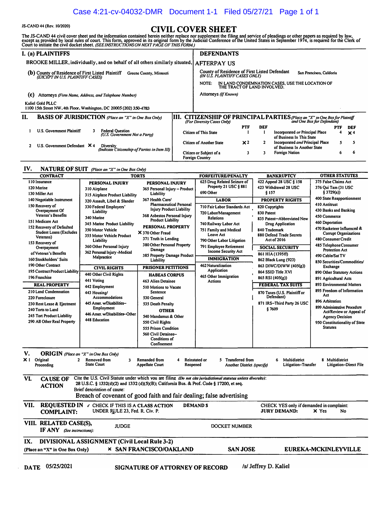#### Case 4:21-cv-04032-DMR Document 1-1 Filed 05/27/21 Page 1 of 1

JS-CAND 44 (Rev. 10/2020)<br>The JS-CAND 44 civil cover sheet and the information contained herein neither replace nor supplement the filing and service of pleadings or other papers as required by law,<br>except as provided by l

|     | I. (a) PLAINTIFFS                                                                                                | <b>DEFENDANTS</b>                                 |                                                                                 |                |     |                                                                                                             |     |                       |
|-----|------------------------------------------------------------------------------------------------------------------|---------------------------------------------------|---------------------------------------------------------------------------------|----------------|-----|-------------------------------------------------------------------------------------------------------------|-----|-----------------------|
|     | BROOKE MILLER, individually, and on behalf of all others similarly situated,   AFTERPAY US                       |                                                   |                                                                                 |                |     |                                                                                                             |     |                       |
|     | (b) County of Residence of First Listed Plaintiff<br>Greene County, Missouri<br>(EXCEPT IN U.S. PLAINTIFF CASES) |                                                   | County of Residence of First Listed Defendant<br>(IN U.S. PLAINTIFF CASES ONLY) |                |     | San Francisco, Califoria                                                                                    |     |                       |
|     |                                                                                                                  | NOTE:                                             | THE TRACT OF LAND INVOLVED.                                                     |                |     | IN LAND CONDEMNATION CASES, USE THE LOCATION OF                                                             |     |                       |
| (c) | Attorneys (Firm Name, Address, and Telephone Number)                                                             | Attorneys (If Known)                              |                                                                                 |                |     |                                                                                                             |     |                       |
|     | Kaliel Gold PLLC<br>1100 15th Street NW, 4th Floor, Washington, DC 20005 (202) 350-4783                          |                                                   |                                                                                 |                |     |                                                                                                             |     |                       |
| Н.  | <b>BASIS OF JURISDICTION</b> (Place an "X" in One Box Only)                                                      | (For Diversity Cases Only)                        |                                                                                 |                |     | [111. CITIZENSHIP OF PRINCIPAL PARTIES (Place an "X" in One Box for Plaintiff<br>and One Box for Defendant) |     |                       |
|     |                                                                                                                  |                                                   |                                                                                 | <b>PTF</b>     | DEF |                                                                                                             | PTF | DEF                   |
|     | <b>Federal Question</b><br>U.S. Government Plaintiff<br>(U.S. Government Not a Party)                            | Citizen of This State                             |                                                                                 |                |     | Incorporated or Principal Place<br>of Business In This State                                                | 4   | $\times$ <sup>4</sup> |
|     | U.S. Government Defendant $\times$ 4<br>Diversity<br>(Indicate Citizenship of Parties in Item III)               | <b>Citizen of Another State</b>                   |                                                                                 | x <sub>2</sub> |     | Incorporated and Principal Place<br>of Business In Another State                                            | s   | 5                     |
|     |                                                                                                                  | Citizen or Subject of a<br><b>Foreign Country</b> |                                                                                 | 3              |     | Foreign Nation                                                                                              | 6   | 6                     |

#### **IV, NATURE OF SUIT** *(Place an "X" in One Box O11/y)*

| <b>CONTRACT</b>                                             |                                                                                                                | <b>TORTS</b>                                             | <b>FORFEITURE/PENALTY</b>                  | <b>BANKRUPTCY</b>                        | <b>OTHER STATUTES</b>                             |
|-------------------------------------------------------------|----------------------------------------------------------------------------------------------------------------|----------------------------------------------------------|--------------------------------------------|------------------------------------------|---------------------------------------------------|
| 110 Insurance                                               | PERSONAL INJURY                                                                                                | PERSONAL INJURY                                          | 625 Drug Related Seizure of                | 422 Appeal 28 USC § 158                  | 375 False Claims Act                              |
| 120 Marine                                                  | 310 Airplane                                                                                                   | 365 Personal Injury - Product                            | Property 21 USC § 881                      | 423 Withdrawal 28 USC                    | 376 Oui Tam (31 USC                               |
| 130 Miller Act                                              | 315 Airplane Product Liability                                                                                 | Liability                                                | 690 Other                                  | \$157                                    | \$3729(a)                                         |
| 140 Negotiable Instrument                                   | 320 Assault, Libel & Slander                                                                                   | 367 Health Care/                                         | <b>LABOR</b>                               | <b>PROPERTY RIGHTS</b>                   | 400 State Reapportionment                         |
| 150 Recovery of                                             | 330 Federal Employers'                                                                                         | Pharmaceutical Personal                                  | 710 Fair Labor Standards Act               | 820 Copyrights                           | 410 Antitrust                                     |
| Overpayment Of                                              | <b>Liability</b>                                                                                               | <b>Injury Product Liability</b>                          | 720 Labor/Management                       | 830 Patent                               | 430 Banks and Banking                             |
| Veteran's Benefits                                          | 340 Marine                                                                                                     | 368 Asbestos Personal Injury<br><b>Product Liability</b> | <b>Relations</b>                           | 835 Patent-Abbreviated New               | 450 Commerce                                      |
| 151 Medicare Act                                            | 345 Marine Product Liability                                                                                   | PERSONAL PROPERTY                                        | 740 Railway Labor Act                      | Drug Application                         | 460 Deportation                                   |
| 152 Recovery of Defaulted<br><b>Student Loans (Excludes</b> | 350 Motor Vehicle                                                                                              |                                                          | 751 Family and Medical                     | 840 Trademark                            | 470 Racketeer Influenced &                        |
| Veterans)                                                   | 355 Motor Vehicle Product                                                                                      | X 370 Other Fraud                                        | Leave Act                                  | 880 Defend Trade Secrets                 | <b>Corrupt Organizations</b>                      |
| 153 Recovery of                                             | Liability                                                                                                      | 371 Truth in Lending                                     | 790 Other Labor Litigation                 | Act of 2016                              | 480 Consumer Credit                               |
| Overpayment                                                 | 360 Other Personal Injury                                                                                      | 380 Other Personal Property<br>Damage                    | 791 Employee Retirement                    | <b>SOCIAL SECURITY</b>                   | 485 Telephone Consumer<br><b>Protection Act</b>   |
| of Veteran's Benefits                                       | 362 Personal Injury -Medical                                                                                   | 385 Property Damage Product                              | Income Security Act                        | 861 HIA (1395ff)                         | 490 Cable/Sat TV                                  |
| 160 Stockholders' Suits                                     | Malpractice                                                                                                    | Liability                                                | <b>IMMIGRATION</b>                         | 862 Black Lung (923)                     | 850 Securities/Commodities/                       |
| 190 Other Contract                                          | <b>CIVIL RIGHTS</b>                                                                                            | <b>PRISONER PETITIONS</b>                                | <b>462 Naturalization</b>                  | 863 DIWC/DIWW (405(g))                   | Exchange                                          |
| 195 Contract Product Liability                              |                                                                                                                |                                                          | Application                                | 864 SSID Title XVI                       | 890 Other Statutory Actions                       |
| 196 Franchise                                               | 440 Other Civil Rights                                                                                         | <b>HABEAS CORPUS</b>                                     | 465 Other Immigration                      | 865 RSI (405(g))                         | 891 Agricultural Acts                             |
| <b>REAL PROPERTY</b>                                        | 441 Voting                                                                                                     | <b>463 Alien Detainee</b>                                | <b>Actions</b>                             | <b>FEDERAL TAX SUITS</b>                 | 893 Environmental Matters                         |
| 210 Land Condemnation                                       | 442 Employment<br>443 Housing/                                                                                 | 510 Motions to Vacate<br>Sentence                        |                                            | 870 Taxes (U.S. Plaintiff or             | 895 Freedom of Information                        |
| 220 Foreclosure                                             | Accommodations                                                                                                 | 530 General                                              |                                            | Defendant)                               | Act                                               |
| 230 Rent Lease & Ejectment                                  | 445 Amer. w/Disabilities-                                                                                      | 535 Death Penalty                                        |                                            | 871 IRS-Third Party 26 USC               | 896 Arbitration                                   |
| 240 Torts to Land                                           | Employment                                                                                                     | <b>OTHER</b>                                             |                                            | §7609                                    | 899 Administrative Procedure                      |
| 245 Tort Product Liability                                  | 446 Amer. w/Disabilities-Other                                                                                 | 540 Mandamus & Other                                     |                                            |                                          | Act/Review or Appeal of                           |
| 290 All Other Real Property                                 | <b>448 Education</b>                                                                                           | 550 Civil Rights                                         |                                            |                                          | <b>Agency Decision</b>                            |
|                                                             |                                                                                                                | 555 Prison Condition                                     |                                            |                                          | 950 Constitutionality of State<br><b>Statutes</b> |
|                                                             |                                                                                                                | 560 Civil Detainee-                                      |                                            |                                          |                                                   |
|                                                             |                                                                                                                | <b>Conditions of</b>                                     |                                            |                                          |                                                   |
|                                                             |                                                                                                                | Confinement                                              |                                            |                                          |                                                   |
|                                                             |                                                                                                                |                                                          |                                            |                                          |                                                   |
| V.<br><b>ORIGIN</b> (Place an "X" in One Box Only)          |                                                                                                                |                                                          |                                            |                                          |                                                   |
| X I Original<br>$\mathbf{2}$                                | Removed from<br>3                                                                                              | <b>Remanded from</b><br>4                                | 5 Transferred from<br><b>Reinstated or</b> | Multidistrict<br>6                       | 8 Multidistrict                                   |
| Proceeding                                                  | <b>State Court</b>                                                                                             | <b>Appellate Court</b><br>Reopened                       | Another District (specify)                 | Litigation-Transfer                      | Litigation-Direct File                            |
|                                                             |                                                                                                                |                                                          |                                            |                                          |                                                   |
| VI.<br><b>CAUSE OF</b>                                      | Cite the U.S. Civil Statute under which you are filing (Do not cite jurisdictional statutes unless diversity): |                                                          |                                            |                                          |                                                   |
| <b>ACTION</b>                                               | 28 U.S.C. § 1332(d)(2) and 1332 (d)(5)(B); California Bus. & Prof. Code § 17200, et seq.                       |                                                          |                                            |                                          |                                                   |
|                                                             | Brief descrintion of cause:                                                                                    |                                                          |                                            |                                          |                                                   |
|                                                             | Breach of covenant of good faith and fair dealing; false advertising                                           |                                                          |                                            |                                          |                                                   |
| VII.                                                        | <b>REQUESTED IN / CHECK IF THIS IS A CLASS ACTION</b>                                                          |                                                          | <b>DEMANDS</b>                             | CHECK YES only if demanded in complaint: |                                                   |
| <b>COMPLAINT:</b>                                           | UNDER RULE 23, Fed. R. Civ. P.                                                                                 |                                                          |                                            | <b>JURY DEMAND:</b>                      | X Yes<br>No                                       |
|                                                             |                                                                                                                |                                                          |                                            |                                          |                                                   |
| VIII. RELATED CASE(S),                                      |                                                                                                                |                                                          |                                            |                                          |                                                   |
|                                                             | <b>JUDGE</b>                                                                                                   |                                                          | <b>DOCKET NUMBER</b>                       |                                          |                                                   |
| <b>IF ANY</b> (See instructions):                           |                                                                                                                |                                                          |                                            |                                          |                                                   |
| IX.                                                         | DIVISIONAL ASSIGNMENT (Civil Local Rule 3-2)                                                                   |                                                          |                                            |                                          |                                                   |
| (Place an "X" in One Box Only)                              |                                                                                                                | <b>× SAN FRANCISCO/OAKLAND</b>                           | <b>SAN JOSE</b>                            |                                          | <b>EUREKA-MCKINLEYVILLE</b>                       |
|                                                             |                                                                                                                |                                                          |                                            |                                          |                                                   |
|                                                             |                                                                                                                |                                                          |                                            |                                          |                                                   |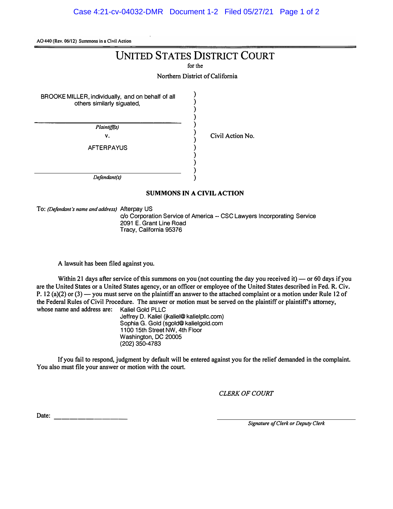**AO440 (Rev. 06/12) Summons in a Civil Action** 

## UNITED STATES DISTRICT COURT

**for the** 

**Northern District of California** 

**) ) ) ) ) ) ) ) ) ) ) )** 

BROOKE MILLER, individually, and on behalf of all others similarly siguated,

> *Plaintiff(s)*  v.

**Civil Action No.** 

AFTERPAYUS

*Defendant(s)* 

#### **SUMMONS IN A CIVIL ACTION**

**To:** *(Defendant's name and address)* Afterpay US

c/o Corporation Service of America -- CSC Lawyers Incorporating Service 2091 E. Grant Line Road Tracy, California 95376

**A lawsuit has been filed against you.** 

Within 21 days after service of this summons on you (not counting the day you received it) — or 60 days if you **are the United States or a United States agency, or an officer or employee of the United States described in Fed. R. Civ. P.** 12 (a)(2) or (3) — you must serve on the plaintiff an answer to the attached complaint or a motion under Rule 12 of **the Federal Rules of Civil Procedure. The answer or motion must be served on the plaintiff or plaintiff's attorney,** whose name and address are:

> Jeffrey D. Kaliel (jkaliel@kalielpllc.com) Sophia G. Gold (sgold@kalielgold.com 1100 15th Street NW, 4th Floor Washington, DC 20005 (202) 350-4783

**If you fail to respond, judgment by default will be entered against you for the relief demanded in the complaint. You also must file your answer or motion with the court.** 

*CLERK OF COURT* 

**Date:** --------- *Signature of Clerk or Deputy Clerk*